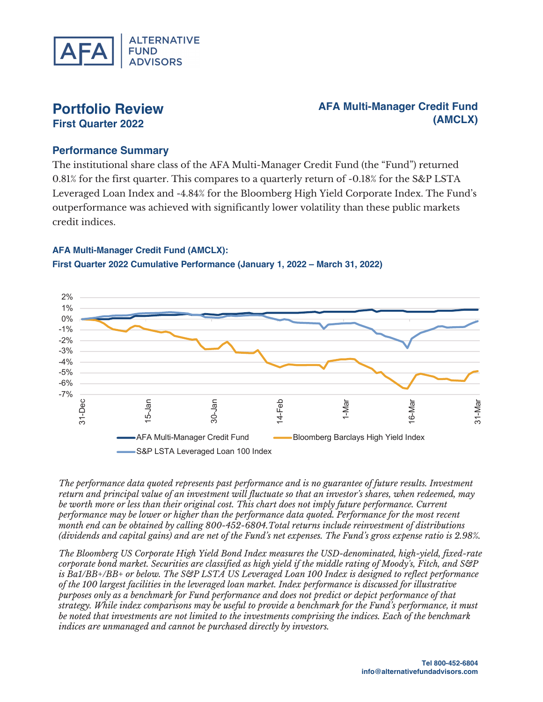

# **Portfolio Review First Quarter 2022**

# **AFA Multi-Manager Credit Fund (AMCLX)**

### **Performance Summary**

The institutional share class of the AFA Multi-Manager Credit Fund (the "Fund") returned 0.81% for the first quarter. This compares to a quarterly return of -0.18% for the S&P LSTA Leveraged Loan Index and -4.84% for the Bloomberg High Yield Corporate Index. The Fund's outperformance was achieved with significantly lower volatility than these public markets credit indices.

#### **AFA Multi-Manager Credit Fund (AMCLX):**



**First Quarter 2022 Cumulative Performance (January 1, 2022 – March 31, 2022)**

*The performance data quoted represents past performance and is no guarantee of future results. Investment return and principal value of an investment will fluctuate so that an investor's shares, when redeemed, may be worth more or less than their original cost. This chart does not imply future performance. Current performance may be lower or higher than the performance data quoted. Performance for the most recent month end can be obtained by calling 800-452-6804.Total returns include reinvestment of distributions (dividends and capital gains) and are net of the Fund's net expenses. The Fund's gross expense ratio is 2.98%.* 

*The Bloomberg US Corporate High Yield Bond Index measures the USD-denominated, high-yield, fixed-rate corporate bond market. Securities are classified as high yield if the middle rating of Moody's, Fitch, and S&P is Ba1/BB+/BB+ or below. The S&P LSTA US Leveraged Loan 100 Index is designed to reflect performance of the 100 largest facilities in the leveraged loan market. Index performance is discussed for illustrative purposes only as a benchmark for Fund performance and does not predict or depict performance of that strategy. While index comparisons may be useful to provide a benchmark for the Fund's performance, it must be noted that investments are not limited to the investments comprising the indices. Each of the benchmark indices are unmanaged and cannot be purchased directly by investors.*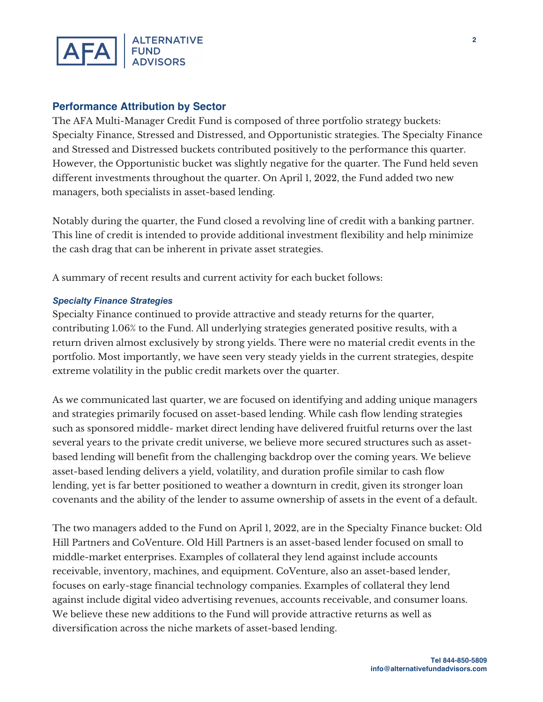

### **Performance Attribution by Sector**

The AFA Multi-Manager Credit Fund is composed of three portfolio strategy buckets: Specialty Finance, Stressed and Distressed, and Opportunistic strategies. The Specialty Finance and Stressed and Distressed buckets contributed positively to the performance this quarter. However, the Opportunistic bucket was slightly negative for the quarter. The Fund held seven different investments throughout the quarter. On April 1, 2022, the Fund added two new managers, both specialists in asset-based lending.

Notably during the quarter, the Fund closed a revolving line of credit with a banking partner. This line of credit is intended to provide additional investment flexibility and help minimize the cash drag that can be inherent in private asset strategies.

A summary of recent results and current activity for each bucket follows:

### *Specialty Finance Strategies*

Specialty Finance continued to provide attractive and steady returns for the quarter, contributing 1.06% to the Fund. All underlying strategies generated positive results, with a return driven almost exclusively by strong yields. There were no material credit events in the portfolio. Most importantly, we have seen very steady yields in the current strategies, despite extreme volatility in the public credit markets over the quarter.

As we communicated last quarter, we are focused on identifying and adding unique managers and strategies primarily focused on asset-based lending. While cash flow lending strategies such as sponsored middle- market direct lending have delivered fruitful returns over the last several years to the private credit universe, we believe more secured structures such as assetbased lending will benefit from the challenging backdrop over the coming years. We believe asset-based lending delivers a yield, volatility, and duration profile similar to cash flow lending, yet is far better positioned to weather a downturn in credit, given its stronger loan covenants and the ability of the lender to assume ownership of assets in the event of a default.

The two managers added to the Fund on April 1, 2022, are in the Specialty Finance bucket: Old Hill Partners and CoVenture. Old Hill Partners is an asset-based lender focused on small to middle-market enterprises. Examples of collateral they lend against include accounts receivable, inventory, machines, and equipment. CoVenture, also an asset-based lender, focuses on early-stage financial technology companies. Examples of collateral they lend against include digital video advertising revenues, accounts receivable, and consumer loans. We believe these new additions to the Fund will provide attractive returns as well as diversification across the niche markets of asset-based lending.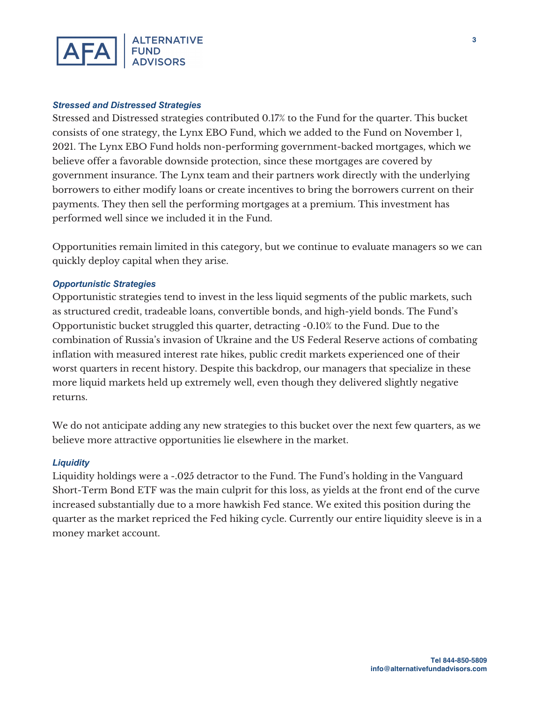

#### *Stressed and Distressed Strategies*

Stressed and Distressed strategies contributed 0.17% to the Fund for the quarter. This bucket consists of one strategy, the Lynx EBO Fund, which we added to the Fund on November 1, 2021. The Lynx EBO Fund holds non-performing government-backed mortgages, which we believe offer a favorable downside protection, since these mortgages are covered by government insurance. The Lynx team and their partners work directly with the underlying borrowers to either modify loans or create incentives to bring the borrowers current on their payments. They then sell the performing mortgages at a premium. This investment has performed well since we included it in the Fund.

Opportunities remain limited in this category, but we continue to evaluate managers so we can quickly deploy capital when they arise.

#### *Opportunistic Strategies*

Opportunistic strategies tend to invest in the less liquid segments of the public markets, such as structured credit, tradeable loans, convertible bonds, and high-yield bonds. The Fund's Opportunistic bucket struggled this quarter, detracting -0.10% to the Fund. Due to the combination of Russia's invasion of Ukraine and the US Federal Reserve actions of combating inflation with measured interest rate hikes, public credit markets experienced one of their worst quarters in recent history. Despite this backdrop, our managers that specialize in these more liquid markets held up extremely well, even though they delivered slightly negative returns.

We do not anticipate adding any new strategies to this bucket over the next few quarters, as we believe more attractive opportunities lie elsewhere in the market.

#### *Liquidity*

Liquidity holdings were a -.025 detractor to the Fund. The Fund's holding in the Vanguard Short-Term Bond ETF was the main culprit for this loss, as yields at the front end of the curve increased substantially due to a more hawkish Fed stance. We exited this position during the quarter as the market repriced the Fed hiking cycle. Currently our entire liquidity sleeve is in a money market account.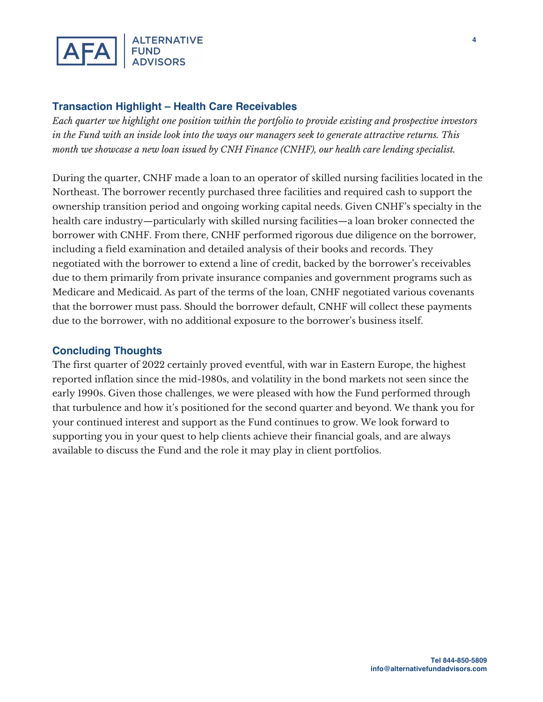

# **Transaction Highlight – Health Care Receivables**

*Each quarter we highlight one position within the portfolio to provide existing and prospective investors in the Fund with an inside look into the ways our managers seek to generate attractive returns. This month we showcase a new loan issued by CNH Finance (CNHF), our health care lending specialist.* 

During the quarter, CNHF made a loan to an operator of skilled nursing facilities located in the Northeast. The borrower recently purchased three facilities and required cash to support the ownership transition period and ongoing working capital needs. Given CNHF's specialty in the health care industry—particularly with skilled nursing facilities—a loan broker connected the borrower with CNHF. From there, CNHF performed rigorous due diligence on the borrower, including a field examination and detailed analysis of their books and records. They negotiated with the borrower to extend a line of credit, backed by the borrower's receivables due to them primarily from private insurance companies and government programs such as Medicare and Medicaid. As part of the terms of the loan, CNHF negotiated various covenants that the borrower must pass. Should the borrower default, CNHF will collect these payments due to the borrower, with no additional exposure to the borrower's business itself.

## **Concluding Thoughts**

The first quarter of 2022 certainly proved eventful, with war in Eastern Europe, the highest reported inflation since the mid-1980s, and volatility in the bond markets not seen since the early 1990s. Given those challenges, we were pleased with how the Fund performed through that turbulence and how it's positioned for the second quarter and beyond. We thank you for your continued interest and support as the Fund continues to grow. We look forward to supporting you in your quest to help clients achieve their financial goals, and are always available to discuss the Fund and the role it may play in client portfolios.